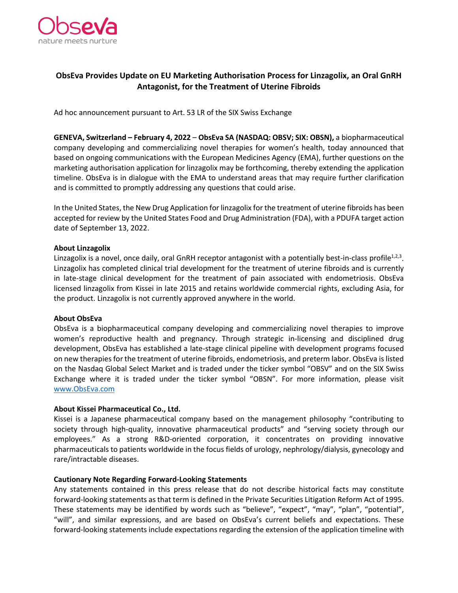

# **ObsEva Provides Update on EU Marketing Authorisation Process for Linzagolix, an Oral GnRH Antagonist, for the Treatment of Uterine Fibroids**

Ad hoc announcement pursuant to Art. 53 LR of the SIX Swiss Exchange

**GENEVA, Switzerland – February 4, 2022** – **ObsEva SA (NASDAQ: OBSV; SIX: OBSN),** a biopharmaceutical company developing and commercializing novel therapies for women's health, today announced that based on ongoing communications with the European Medicines Agency (EMA), further questions on the marketing authorisation application for linzagolix may be forthcoming, thereby extending the application timeline. ObsEva is in dialogue with the EMA to understand areas that may require further clarification and is committed to promptly addressing any questions that could arise.

In the United States, the New Drug Application for linzagolix for the treatment of uterine fibroids has been accepted for review by the United States Food and Drug Administration (FDA), with a PDUFA target action date of September 13, 2022.

### **About Linzagolix**

Linzagolix is a novel, once daily, oral GnRH receptor antagonist with a potentially best-in-class profile<sup>1,2,3</sup>. Linzagolix has completed clinical trial development for the treatment of uterine fibroids and is currently in late-stage clinical development for the treatment of pain associated with endometriosis. ObsEva licensed linzagolix from Kissei in late 2015 and retains worldwide commercial rights, excluding Asia, for the product. Linzagolix is not currently approved anywhere in the world.

### **About ObsEva**

ObsEva is a biopharmaceutical company developing and commercializing novel therapies to improve women's reproductive health and pregnancy. Through strategic in-licensing and disciplined drug development, ObsEva has established a late-stage clinical pipeline with development programs focused on new therapies for the treatment of uterine fibroids, endometriosis, and preterm labor. ObsEva is listed on the Nasdaq Global Select Market and is traded under the ticker symbol "OBSV" and on the SIX Swiss Exchange where it is traded under the ticker symbol "OBSN". For more information, please visit [www.ObsEva.com](http://www.obseva.com/)

### **About Kissei Pharmaceutical Co., Ltd.**

Kissei is a Japanese pharmaceutical company based on the management philosophy "contributing to society through high-quality, innovative pharmaceutical products" and "serving society through our employees." As a strong R&D-oriented corporation, it concentrates on providing innovative pharmaceuticals to patients worldwide in the focus fields of urology, nephrology/dialysis, gynecology and rare/intractable diseases.

### **Cautionary Note Regarding Forward-Looking Statements**

Any statements contained in this press release that do not describe historical facts may constitute forward-looking statements as that term is defined in the Private Securities Litigation Reform Act of 1995. These statements may be identified by words such as "believe", "expect", "may", "plan", "potential", "will", and similar expressions, and are based on ObsEva's current beliefs and expectations. These forward-looking statements include expectations regarding the extension of the application timeline with